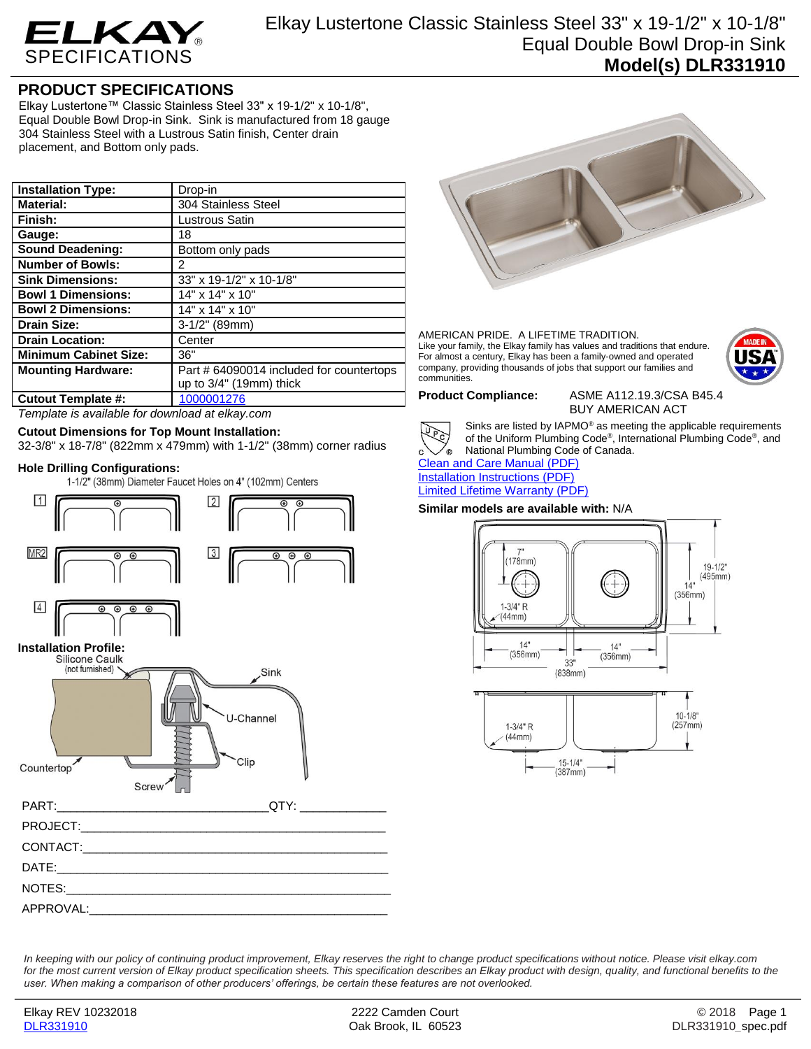

# **PRODUCT SPECIFICATIONS**

Elkay Lustertone™ Classic Stainless Steel 33" x 19-1/2" x 10-1/8", Equal Double Bowl Drop-in Sink. Sink is manufactured from 18 gauge 304 Stainless Steel with a Lustrous Satin finish, Center drain placement, and Bottom only pads.

| <b>Installation Type:</b>    | Drop-in                                  |
|------------------------------|------------------------------------------|
| <b>Material:</b>             | 304 Stainless Steel                      |
| Finish:                      | Lustrous Satin                           |
| Gauge:                       | 18                                       |
| <b>Sound Deadening:</b>      | Bottom only pads                         |
| <b>Number of Bowls:</b>      | 2                                        |
| <b>Sink Dimensions:</b>      | 33" x 19-1/2" x 10-1/8"                  |
| <b>Bowl 1 Dimensions:</b>    | 14" x 14" x 10"                          |
| <b>Bowl 2 Dimensions:</b>    | 14" x 14" x 10"                          |
| Drain Size:                  | $3-1/2"$ (89mm)                          |
| <b>Drain Location:</b>       | Center                                   |
| <b>Minimum Cabinet Size:</b> | 36"                                      |
| <b>Mounting Hardware:</b>    | Part # 64090014 included for countertops |
|                              | up to 3/4" (19mm) thick                  |
| <b>Cutout Template #:</b>    | 1000001276                               |

*Template is available for download at elkay.com*

## **Cutout Dimensions for Top Mount Installation:**

32-3/8" x 18-7/8" (822mm x 479mm) with 1-1/2" (38mm) corner radius

**Hole Drilling Configurations:**





### AMERICAN PRIDE. A LIFETIME TRADITION. Like your family, the Elkay family has values and traditions that endure. For almost a century, Elkay has been a family-owned and operated company, providing thousands of jobs that support our families and communities.



**Product Compliance:** ASME A112.19.3/CSA B45.4 BUY AMERICAN ACT



Sinks are listed by IAPMO® as meeting the applicable requirements of the Uniform Plumbing Code® , International Plumbing Code® , and National Plumbing Code of Canada.

[Clean and Care Manual \(PDF\)](http://www.elkay.com/wcsstore/lkdocs/care-cleaning-install-warranty-sheets/residential%20and%20commercial%20care%20%20cleaning.pdf) [Installation Instructions \(PDF\)](http://www.elkay.com/wcsstore/lkdocs/care-cleaning-install-warranty-sheets/74180147.pdf) [Limited Lifetime Warranty](http://www.elkay.com/wcsstore/lkdocs/care-cleaning-install-warranty-sheets/residential%20sinks%20warranty.pdf) (PDF)

## **Similar models are available with:** N/A



*In keeping with our policy of continuing product improvement, Elkay reserves the right to change product specifications without notice. Please visit elkay.com for the most current version of Elkay product specification sheets. This specification describes an Elkay product with design, quality, and functional benefits to the user. When making a comparison of other producers' offerings, be certain these features are not overlooked.*